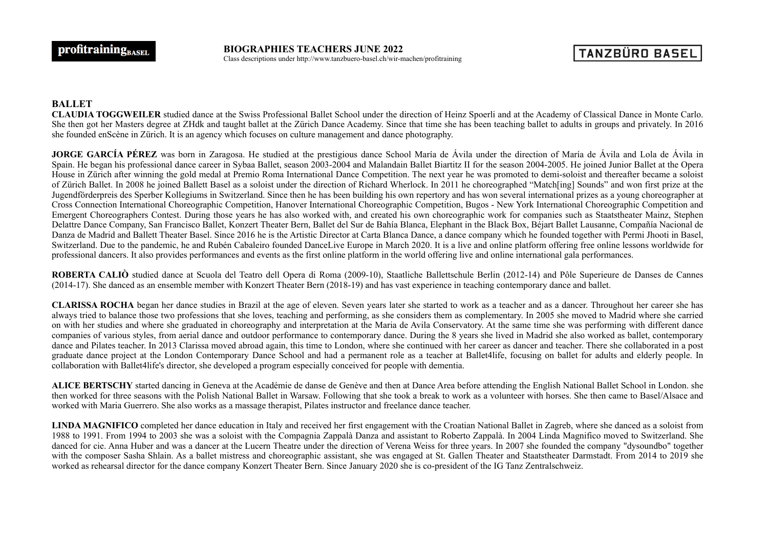**BIOGRAPHIES TEACHERS JUNE 2022** Class descriptions under http://www.tanzbuero-basel.ch/wir-machen/profitraining

## **BALLET**

**CLAUDIA TOGGWEILER** studied dance at the Swiss Professional Ballet School under the direction of Heinz Spoerli and at the Academy of Classical Dance in Monte Carlo. She then got her Masters degree at ZHdk and taught ballet at the Zürich Dance Academy. Since that time she has been teaching ballet to adults in groups and privately. In 2016 she founded enScène in Zürich. It is an agency which focuses on culture management and dance photography.

**JORGE GARCÍA PÉREZ** was born in Zaragosa. He studied at the prestigious dance School María de Ávila under the direction of María de Ávila and Lola de Ávila in Spain. He began his professional dance career in Sybaa Ballet, season 2003-2004 and Malandain Ballet Biartitz II for the season 2004-2005. He joined Junior Ballet at the Opera House in Zürich after winning the gold medal at Premio Roma International Dance Competition. The next year he was promoted to demi-soloist and thereafter became a soloist of Zürich Ballet. In 2008 he joined Ballett Basel as a soloist under the direction of Richard Wherlock. In 2011 he choreographed "Match[ing] Sounds" and won first prize at the Jugendförderpreis des Sperber Kollegiums in Switzerland. Since then he has been building his own repertory and has won several international prizes as a young choreographer at Cross Connection International Choreographic Competition, Hanover International Choreographic Competition, Bugos - New York International Choreographic Competition and Emergent Choreographers Contest. During those years he has also worked with, and created his own choreographic work for companies such as Staatstheater Mainz, Stephen Delattre Dance Company, San Francisco Ballet, Konzert Theater Bern, Ballet del Sur de Bahía Blanca, Elephant in the Black Box, Béjart Ballet Lausanne, Compañía Nacional de Danza de Madrid and Ballett Theater Basel. Since 2016 he is the Artistic Director at Carta Blanca Dance, a dance company which he founded together with Permi Jhooti in Basel, Switzerland. Due to the pandemic, he and Rubén Cabaleiro founded DanceLive Europe in March 2020. It is a live and online platform offering free online lessons worldwide for professional dancers. It also provides performances and events as the first online platform in the world offering live and online international gala performances.

**ROBERTA CALIÒ** studied dance at Scuola del Teatro dell Opera di Roma (2009-10), Staatliche Ballettschule Berlin (2012-14) and Pôle Superieure de Danses de Cannes (2014-17). She danced as an ensemble member with Konzert Theater Bern (2018-19) and has vast experience in teaching contemporary dance and ballet.

**CLARISSA ROCHA** began her dance studies in Brazil at the age of eleven. Seven years later she started to work as a teacher and as a dancer. Throughout her career she has always tried to balance those two professions that she loves, teaching and performing, as she considers them as complementary. In 2005 she moved to Madrid where she carried on with her studies and where she graduated in choreography and interpretation at the Maria de Avila Conservatory. At the same time she was performing with different dance companies of various styles, from aerial dance and outdoor performance to contemporary dance. During the 8 years she lived in Madrid she also worked as ballet, contemporary dance and Pilates teacher. In 2013 Clarissa moved abroad again, this time to London, where she continued with her career as dancer and teacher. There she collaborated in a post graduate dance project at the London Contemporary Dance School and had a permanent role as a teacher at Ballet4life, focusing on ballet for adults and elderly people. In collaboration with Ballet4life's director, she developed a program especially conceived for people with dementia.

**ALICE BERTSCHY** started dancing in Geneva at the Académie de danse de Genève and then at Dance Area before attending the English National Ballet School in London. she then worked for three seasons with the Polish National Ballet in Warsaw. Following that she took a break to work as a volunteer with horses. She then came to Basel/Alsace and worked with Maria Guerrero. She also works as a massage therapist, Pilates instructor and freelance dance teacher.

**LINDA MAGNIFICO** completed her dance education in Italy and received her first engagement with the Croatian National Ballet in Zagreb, where she danced as a soloist from 1988 to 1991. From 1994 to 2003 she was a soloist with the Compagnia Zappalà Danza and assistant to Roberto Zappalà. In 2004 Linda Magnifico moved to Switzerland. She danced for cie. Anna Huber and was a dancer at the Lucern Theatre under the direction of Verena Weiss for three years. In 2007 she founded the company "dysoundbo" together with the composer Sasha Shlain. As a ballet mistress and choreographic assistant, she was engaged at St. Gallen Theater and Staatstheater Darmstadt. From 2014 to 2019 she worked as rehearsal director for the dance company Konzert Theater Bern. Since January 2020 she is co-president of the IG Tanz Zentralschweiz.